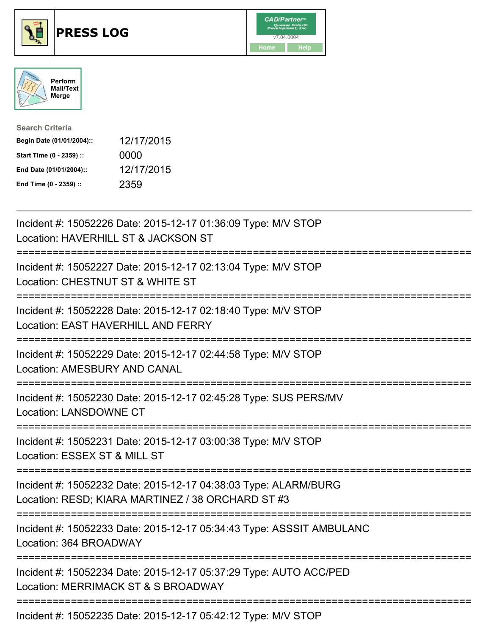





| <b>Search Criteria</b>    |            |
|---------------------------|------------|
| Begin Date (01/01/2004):: | 12/17/2015 |
| Start Time (0 - 2359) ::  | 0000       |
| End Date (01/01/2004)::   | 12/17/2015 |
| End Time (0 - 2359) ::    | 2359       |

| Incident #: 15052226 Date: 2015-12-17 01:36:09 Type: M/V STOP<br>Location: HAVERHILL ST & JACKSON ST                                                        |
|-------------------------------------------------------------------------------------------------------------------------------------------------------------|
| Incident #: 15052227 Date: 2015-12-17 02:13:04 Type: M/V STOP<br>Location: CHESTNUT ST & WHITE ST                                                           |
| Incident #: 15052228 Date: 2015-12-17 02:18:40 Type: M/V STOP<br>Location: EAST HAVERHILL AND FERRY                                                         |
| Incident #: 15052229 Date: 2015-12-17 02:44:58 Type: M/V STOP<br><b>Location: AMESBURY AND CANAL</b><br>=======================                             |
| Incident #: 15052230 Date: 2015-12-17 02:45:28 Type: SUS PERS/MV<br>Location: LANSDOWNE CT<br>--------------------                                          |
| Incident #: 15052231 Date: 2015-12-17 03:00:38 Type: M/V STOP<br>Location: ESSEX ST & MILL ST<br>=======================                                    |
| Incident #: 15052232 Date: 2015-12-17 04:38:03 Type: ALARM/BURG<br>Location: RESD; KIARA MARTINEZ / 38 ORCHARD ST #3<br>=================================== |
| Incident #: 15052233 Date: 2015-12-17 05:34:43 Type: ASSSIT AMBULANC<br>Location: 364 BROADWAY<br>------------------                                        |
| Incident #: 15052234 Date: 2015-12-17 05:37:29 Type: AUTO ACC/PED<br>Location: MERRIMACK ST & S BROADWAY                                                    |
| Incident #: 15052235 Date: 2015-12-17 05:42:12 Type: M/V STOP                                                                                               |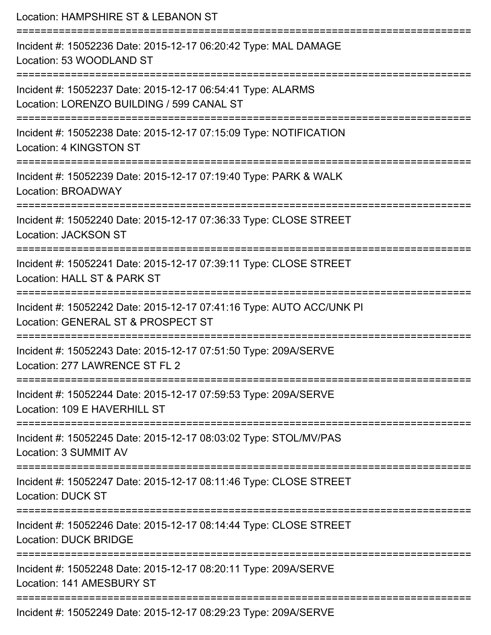| Location: HAMPSHIRE ST & LEBANON ST                                                                        |
|------------------------------------------------------------------------------------------------------------|
| Incident #: 15052236 Date: 2015-12-17 06:20:42 Type: MAL DAMAGE<br>Location: 53 WOODLAND ST                |
| Incident #: 15052237 Date: 2015-12-17 06:54:41 Type: ALARMS<br>Location: LORENZO BUILDING / 599 CANAL ST   |
| Incident #: 15052238 Date: 2015-12-17 07:15:09 Type: NOTIFICATION<br>Location: 4 KINGSTON ST               |
| Incident #: 15052239 Date: 2015-12-17 07:19:40 Type: PARK & WALK<br>Location: BROADWAY                     |
| Incident #: 15052240 Date: 2015-12-17 07:36:33 Type: CLOSE STREET<br><b>Location: JACKSON ST</b>           |
| Incident #: 15052241 Date: 2015-12-17 07:39:11 Type: CLOSE STREET<br>Location: HALL ST & PARK ST           |
| Incident #: 15052242 Date: 2015-12-17 07:41:16 Type: AUTO ACC/UNK PI<br>Location: GENERAL ST & PROSPECT ST |
| Incident #: 15052243 Date: 2015-12-17 07:51:50 Type: 209A/SERVE<br>Location: 277 LAWRENCE ST FL 2          |
| Incident #: 15052244 Date: 2015-12-17 07:59:53 Type: 209A/SERVE<br>Location: 109 E HAVERHILL ST            |
| Incident #: 15052245 Date: 2015-12-17 08:03:02 Type: STOL/MV/PAS<br>Location: 3 SUMMIT AV                  |
| Incident #: 15052247 Date: 2015-12-17 08:11:46 Type: CLOSE STREET<br><b>Location: DUCK ST</b>              |
| Incident #: 15052246 Date: 2015-12-17 08:14:44 Type: CLOSE STREET<br><b>Location: DUCK BRIDGE</b>          |
| Incident #: 15052248 Date: 2015-12-17 08:20:11 Type: 209A/SERVE<br>Location: 141 AMESBURY ST               |
| Incident #: 15052249 Date: 2015-12-17 08:29:23 Type: 209A/SERVE                                            |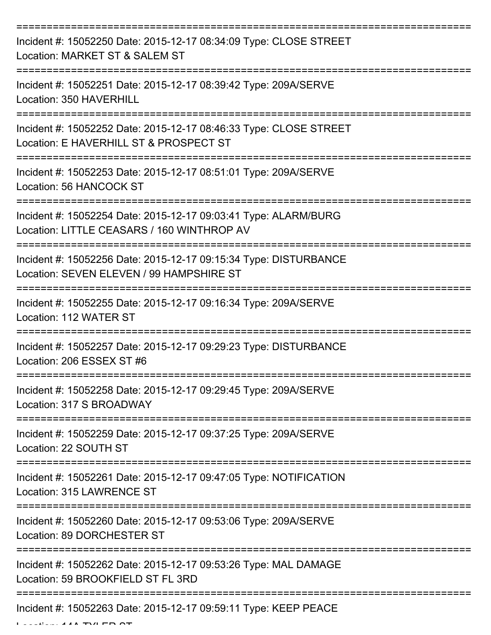| Incident #: 15052250 Date: 2015-12-17 08:34:09 Type: CLOSE STREET<br>Location: MARKET ST & SALEM ST           |
|---------------------------------------------------------------------------------------------------------------|
| Incident #: 15052251 Date: 2015-12-17 08:39:42 Type: 209A/SERVE<br>Location: 350 HAVERHILL                    |
| Incident #: 15052252 Date: 2015-12-17 08:46:33 Type: CLOSE STREET<br>Location: E HAVERHILL ST & PROSPECT ST   |
| Incident #: 15052253 Date: 2015-12-17 08:51:01 Type: 209A/SERVE<br>Location: 56 HANCOCK ST                    |
| Incident #: 15052254 Date: 2015-12-17 09:03:41 Type: ALARM/BURG<br>Location: LITTLE CEASARS / 160 WINTHROP AV |
| Incident #: 15052256 Date: 2015-12-17 09:15:34 Type: DISTURBANCE<br>Location: SEVEN ELEVEN / 99 HAMPSHIRE ST  |
| Incident #: 15052255 Date: 2015-12-17 09:16:34 Type: 209A/SERVE<br>Location: 112 WATER ST                     |
| Incident #: 15052257 Date: 2015-12-17 09:29:23 Type: DISTURBANCE<br>Location: 206 ESSEX ST #6                 |
| Incident #: 15052258 Date: 2015-12-17 09:29:45 Type: 209A/SERVE<br>Location: 317 S BROADWAY                   |
| Incident #: 15052259 Date: 2015-12-17 09:37:25 Type: 209A/SERVE<br>Location: 22 SOUTH ST                      |
| Incident #: 15052261 Date: 2015-12-17 09:47:05 Type: NOTIFICATION<br>Location: 315 LAWRENCE ST                |
| Incident #: 15052260 Date: 2015-12-17 09:53:06 Type: 209A/SERVE<br>Location: 89 DORCHESTER ST                 |
| Incident #: 15052262 Date: 2015-12-17 09:53:26 Type: MAL DAMAGE<br>Location: 59 BROOKFIELD ST FL 3RD          |
| Incident #: 15052263 Date: 2015-12-17 09:59:11 Type: KEEP PEACE                                               |

 $L$  ...  $44A$  TYLER OT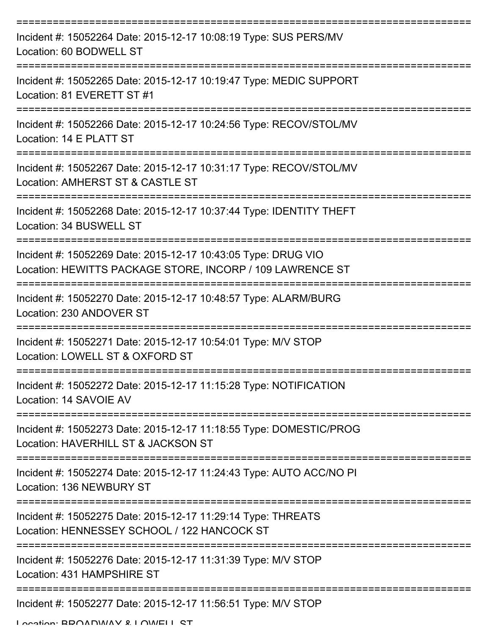| Incident #: 15052264 Date: 2015-12-17 10:08:19 Type: SUS PERS/MV<br>Location: 60 BODWELL ST                                |
|----------------------------------------------------------------------------------------------------------------------------|
| Incident #: 15052265 Date: 2015-12-17 10:19:47 Type: MEDIC SUPPORT<br>Location: 81 EVERETT ST #1                           |
| Incident #: 15052266 Date: 2015-12-17 10:24:56 Type: RECOV/STOL/MV<br>Location: 14 E PLATT ST                              |
| Incident #: 15052267 Date: 2015-12-17 10:31:17 Type: RECOV/STOL/MV<br>Location: AMHERST ST & CASTLE ST                     |
| Incident #: 15052268 Date: 2015-12-17 10:37:44 Type: IDENTITY THEFT<br>Location: 34 BUSWELL ST                             |
| Incident #: 15052269 Date: 2015-12-17 10:43:05 Type: DRUG VIO<br>Location: HEWITTS PACKAGE STORE, INCORP / 109 LAWRENCE ST |
| Incident #: 15052270 Date: 2015-12-17 10:48:57 Type: ALARM/BURG<br>Location: 230 ANDOVER ST                                |
| Incident #: 15052271 Date: 2015-12-17 10:54:01 Type: M/V STOP<br>Location: LOWELL ST & OXFORD ST                           |
| Incident #: 15052272 Date: 2015-12-17 11:15:28 Type: NOTIFICATION<br>Location: 14 SAVOIE AV                                |
| Incident #: 15052273 Date: 2015-12-17 11:18:55 Type: DOMESTIC/PROG<br>Location: HAVERHILL ST & JACKSON ST                  |
| Incident #: 15052274 Date: 2015-12-17 11:24:43 Type: AUTO ACC/NO PI<br>Location: 136 NEWBURY ST                            |
| Incident #: 15052275 Date: 2015-12-17 11:29:14 Type: THREATS<br>Location: HENNESSEY SCHOOL / 122 HANCOCK ST                |
| Incident #: 15052276 Date: 2015-12-17 11:31:39 Type: M/V STOP<br>Location: 431 HAMPSHIRE ST                                |
| Incident #: 15052277 Date: 2015-12-17 11:56:51 Type: M/V STOP                                                              |

Location: BROADWAY & LOWELL ST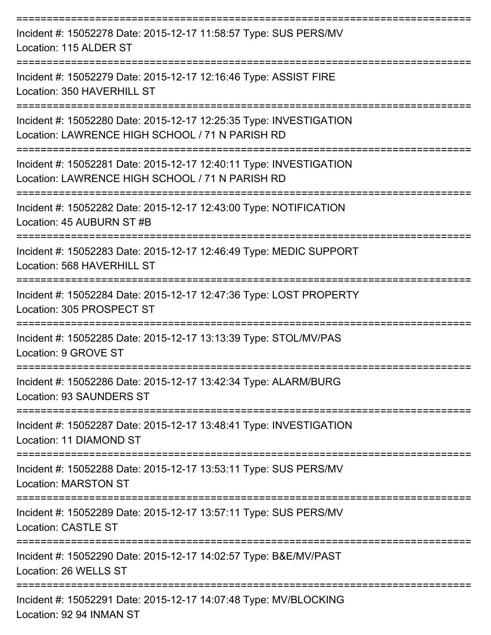| Incident #: 15052278 Date: 2015-12-17 11:58:57 Type: SUS PERS/MV<br>Location: 115 ALDER ST                            |
|-----------------------------------------------------------------------------------------------------------------------|
| Incident #: 15052279 Date: 2015-12-17 12:16:46 Type: ASSIST FIRE<br>Location: 350 HAVERHILL ST                        |
| Incident #: 15052280 Date: 2015-12-17 12:25:35 Type: INVESTIGATION<br>Location: LAWRENCE HIGH SCHOOL / 71 N PARISH RD |
| Incident #: 15052281 Date: 2015-12-17 12:40:11 Type: INVESTIGATION<br>Location: LAWRENCE HIGH SCHOOL / 71 N PARISH RD |
| Incident #: 15052282 Date: 2015-12-17 12:43:00 Type: NOTIFICATION<br>Location: 45 AUBURN ST #B                        |
| Incident #: 15052283 Date: 2015-12-17 12:46:49 Type: MEDIC SUPPORT<br>Location: 568 HAVERHILL ST                      |
| Incident #: 15052284 Date: 2015-12-17 12:47:36 Type: LOST PROPERTY<br>Location: 305 PROSPECT ST                       |
| Incident #: 15052285 Date: 2015-12-17 13:13:39 Type: STOL/MV/PAS<br>Location: 9 GROVE ST                              |
| Incident #: 15052286 Date: 2015-12-17 13:42:34 Type: ALARM/BURG<br>Location: 93 SAUNDERS ST                           |
| Incident #: 15052287 Date: 2015-12-17 13:48:41 Type: INVESTIGATION<br>Location: 11 DIAMOND ST                         |
| Incident #: 15052288 Date: 2015-12-17 13:53:11 Type: SUS PERS/MV<br><b>Location: MARSTON ST</b>                       |
| Incident #: 15052289 Date: 2015-12-17 13:57:11 Type: SUS PERS/MV<br><b>Location: CASTLE ST</b>                        |
| Incident #: 15052290 Date: 2015-12-17 14:02:57 Type: B&E/MV/PAST<br>Location: 26 WELLS ST                             |
| Incident #: 15052291 Date: 2015-12-17 14:07:48 Type: MV/BLOCKING<br>Location: 92 94 INMAN ST                          |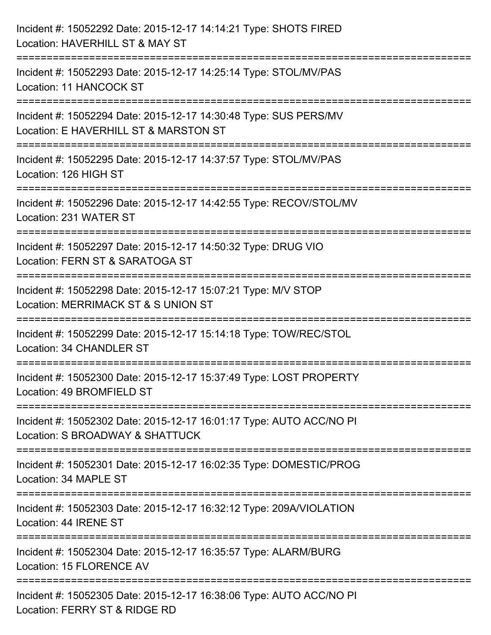| Incident #: 15052292 Date: 2015-12-17 14:14:21 Type: SHOTS FIRED<br>Location: HAVERHILL ST & MAY ST                                 |
|-------------------------------------------------------------------------------------------------------------------------------------|
| Incident #: 15052293 Date: 2015-12-17 14:25:14 Type: STOL/MV/PAS<br>Location: 11 HANCOCK ST                                         |
| Incident #: 15052294 Date: 2015-12-17 14:30:48 Type: SUS PERS/MV<br>Location: E HAVERHILL ST & MARSTON ST<br>====================== |
| Incident #: 15052295 Date: 2015-12-17 14:37:57 Type: STOL/MV/PAS<br>Location: 126 HIGH ST                                           |
| Incident #: 15052296 Date: 2015-12-17 14:42:55 Type: RECOV/STOL/MV<br>Location: 231 WATER ST                                        |
| Incident #: 15052297 Date: 2015-12-17 14:50:32 Type: DRUG VIO<br>Location: FERN ST & SARATOGA ST                                    |
| =====================<br>Incident #: 15052298 Date: 2015-12-17 15:07:21 Type: M/V STOP<br>Location: MERRIMACK ST & S UNION ST       |
| Incident #: 15052299 Date: 2015-12-17 15:14:18 Type: TOW/REC/STOL<br>Location: 34 CHANDLER ST                                       |
| Incident #: 15052300 Date: 2015-12-17 15:37:49 Type: LOST PROPERTY<br>Location: 49 BROMFIELD ST                                     |
| Incident #: 15052302 Date: 2015-12-17 16:01:17 Type: AUTO ACC/NO PI<br>Location: S BROADWAY & SHATTUCK                              |
| Incident #: 15052301 Date: 2015-12-17 16:02:35 Type: DOMESTIC/PROG<br>Location: 34 MAPLE ST                                         |
| Incident #: 15052303 Date: 2015-12-17 16:32:12 Type: 209A/VIOLATION<br>Location: 44 IRENE ST                                        |
| Incident #: 15052304 Date: 2015-12-17 16:35:57 Type: ALARM/BURG<br>Location: 15 FLORENCE AV                                         |
| Incident #: 15052305 Date: 2015-12-17 16:38:06 Type: AUTO ACC/NO PI<br>Location: FERRY ST & RIDGE RD                                |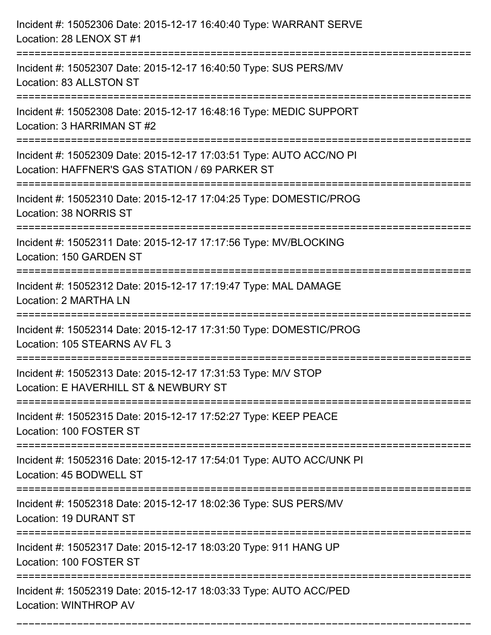| Incident #: 15052306 Date: 2015-12-17 16:40:40 Type: WARRANT SERVE<br>Location: 28 LENOX ST #1                                    |
|-----------------------------------------------------------------------------------------------------------------------------------|
| Incident #: 15052307 Date: 2015-12-17 16:40:50 Type: SUS PERS/MV<br>Location: 83 ALLSTON ST                                       |
| Incident #: 15052308 Date: 2015-12-17 16:48:16 Type: MEDIC SUPPORT<br>Location: 3 HARRIMAN ST #2                                  |
| Incident #: 15052309 Date: 2015-12-17 17:03:51 Type: AUTO ACC/NO PI<br>Location: HAFFNER'S GAS STATION / 69 PARKER ST             |
| Incident #: 15052310 Date: 2015-12-17 17:04:25 Type: DOMESTIC/PROG<br>Location: 38 NORRIS ST<br>================================= |
| Incident #: 15052311 Date: 2015-12-17 17:17:56 Type: MV/BLOCKING<br>Location: 150 GARDEN ST                                       |
| Incident #: 15052312 Date: 2015-12-17 17:19:47 Type: MAL DAMAGE<br>Location: 2 MARTHA LN<br>==============================        |
| Incident #: 15052314 Date: 2015-12-17 17:31:50 Type: DOMESTIC/PROG<br>Location: 105 STEARNS AV FL 3                               |
| Incident #: 15052313 Date: 2015-12-17 17:31:53 Type: M/V STOP<br>Location: E HAVERHILL ST & NEWBURY ST                            |
| Incident #: 15052315 Date: 2015-12-17 17:52:27 Type: KEEP PEACE<br>Location: 100 FOSTER ST                                        |
| Incident #: 15052316 Date: 2015-12-17 17:54:01 Type: AUTO ACC/UNK PI<br>Location: 45 BODWELL ST                                   |
| Incident #: 15052318 Date: 2015-12-17 18:02:36 Type: SUS PERS/MV<br>Location: 19 DURANT ST                                        |
| Incident #: 15052317 Date: 2015-12-17 18:03:20 Type: 911 HANG UP<br>Location: 100 FOSTER ST                                       |
| Incident #: 15052319 Date: 2015-12-17 18:03:33 Type: AUTO ACC/PED<br>Location: WINTHROP AV                                        |

===========================================================================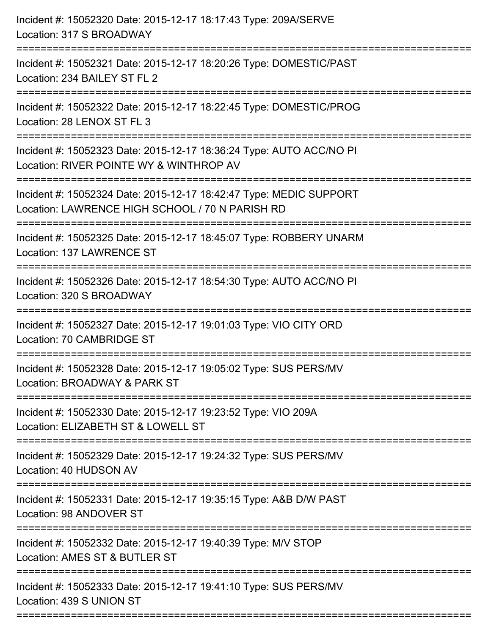| Incident #: 15052320 Date: 2015-12-17 18:17:43 Type: 209A/SERVE<br>Location: 317 S BROADWAY<br>------------------------------------              |
|--------------------------------------------------------------------------------------------------------------------------------------------------|
| Incident #: 15052321 Date: 2015-12-17 18:20:26 Type: DOMESTIC/PAST<br>Location: 234 BAILEY ST FL 2                                               |
| Incident #: 15052322 Date: 2015-12-17 18:22:45 Type: DOMESTIC/PROG<br>Location: 28 LENOX ST FL 3<br>:=============================               |
| Incident #: 15052323 Date: 2015-12-17 18:36:24 Type: AUTO ACC/NO PI<br>Location: RIVER POINTE WY & WINTHROP AV                                   |
| Incident #: 15052324 Date: 2015-12-17 18:42:47 Type: MEDIC SUPPORT<br>Location: LAWRENCE HIGH SCHOOL / 70 N PARISH RD<br>======================= |
| Incident #: 15052325 Date: 2015-12-17 18:45:07 Type: ROBBERY UNARM<br><b>Location: 137 LAWRENCE ST</b>                                           |
| Incident #: 15052326 Date: 2015-12-17 18:54:30 Type: AUTO ACC/NO PI<br>Location: 320 S BROADWAY                                                  |
| Incident #: 15052327 Date: 2015-12-17 19:01:03 Type: VIO CITY ORD<br>Location: 70 CAMBRIDGE ST                                                   |
| Incident #: 15052328 Date: 2015-12-17 19:05:02 Type: SUS PERS/MV<br>Location: BROADWAY & PARK ST                                                 |
| Incident #: 15052330 Date: 2015-12-17 19:23:52 Type: VIO 209A<br>Location: ELIZABETH ST & LOWELL ST                                              |
| Incident #: 15052329 Date: 2015-12-17 19:24:32 Type: SUS PERS/MV<br>Location: 40 HUDSON AV                                                       |
| Incident #: 15052331 Date: 2015-12-17 19:35:15 Type: A&B D/W PAST<br>Location: 98 ANDOVER ST                                                     |
| Incident #: 15052332 Date: 2015-12-17 19:40:39 Type: M/V STOP<br>Location: AMES ST & BUTLER ST                                                   |
| Incident #: 15052333 Date: 2015-12-17 19:41:10 Type: SUS PERS/MV<br>Location: 439 S UNION ST                                                     |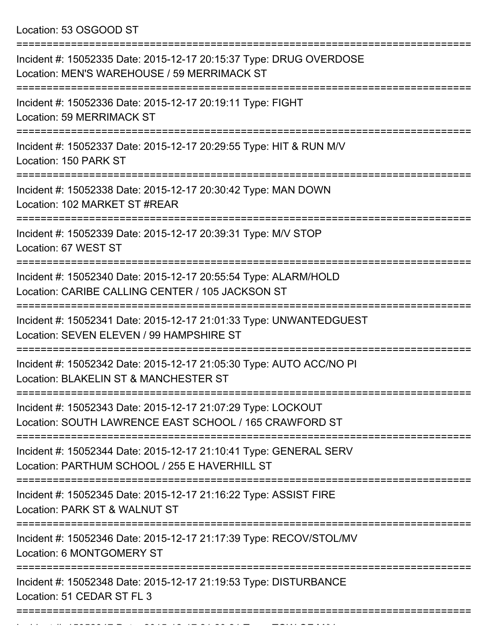Location: 53 OSGOOD ST

| Incident #: 15052335 Date: 2015-12-17 20:15:37 Type: DRUG OVERDOSE<br>Location: MEN'S WAREHOUSE / 59 MERRIMACK ST                                   |
|-----------------------------------------------------------------------------------------------------------------------------------------------------|
| Incident #: 15052336 Date: 2015-12-17 20:19:11 Type: FIGHT<br>Location: 59 MERRIMACK ST                                                             |
| Incident #: 15052337 Date: 2015-12-17 20:29:55 Type: HIT & RUN M/V<br>Location: 150 PARK ST                                                         |
| Incident #: 15052338 Date: 2015-12-17 20:30:42 Type: MAN DOWN<br>Location: 102 MARKET ST #REAR                                                      |
| Incident #: 15052339 Date: 2015-12-17 20:39:31 Type: M/V STOP<br>Location: 67 WEST ST                                                               |
| ============================<br>Incident #: 15052340 Date: 2015-12-17 20:55:54 Type: ALARM/HOLD<br>Location: CARIBE CALLING CENTER / 105 JACKSON ST |
| Incident #: 15052341 Date: 2015-12-17 21:01:33 Type: UNWANTEDGUEST<br>Location: SEVEN ELEVEN / 99 HAMPSHIRE ST                                      |
| Incident #: 15052342 Date: 2015-12-17 21:05:30 Type: AUTO ACC/NO PI<br>Location: BLAKELIN ST & MANCHESTER ST                                        |
| Incident #: 15052343 Date: 2015-12-17 21:07:29 Type: LOCKOUT<br>Location: SOUTH LAWRENCE EAST SCHOOL / 165 CRAWFORD ST                              |
| Incident #: 15052344 Date: 2015-12-17 21:10:41 Type: GENERAL SERV<br>Location: PARTHUM SCHOOL / 255 E HAVERHILL ST                                  |
| Incident #: 15052345 Date: 2015-12-17 21:16:22 Type: ASSIST FIRE<br>Location: PARK ST & WALNUT ST                                                   |
| Incident #: 15052346 Date: 2015-12-17 21:17:39 Type: RECOV/STOL/MV<br>Location: 6 MONTGOMERY ST                                                     |
| Incident #: 15052348 Date: 2015-12-17 21:19:53 Type: DISTURBANCE<br>Location: 51 CEDAR ST FL 3<br>=============================                     |
|                                                                                                                                                     |